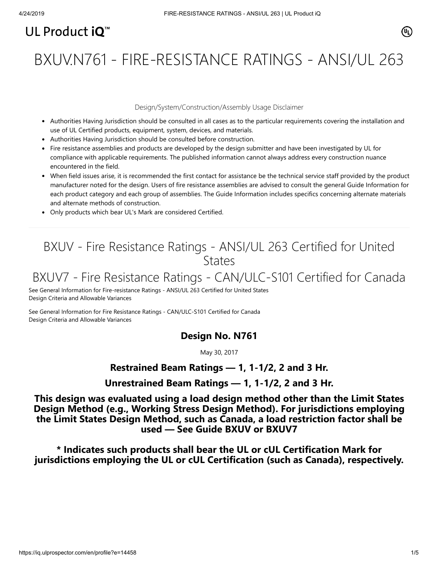# UL Product  $i\mathbf{O}^m$

BXUV.N761 - FIRE-RESISTANCE RATINGS - ANSI/UL 263

#### Design/System/Construction/Assembly Usage Disclaimer

- Authorities Having Jurisdiction should be consulted in all cases as to the particular requirements covering the installation and use of UL Certified products, equipment, system, devices, and materials.
- Authorities Having Jurisdiction should be consulted before construction.
- Fire resistance assemblies and products are developed by the design submitter and have been investigated by UL for compliance with applicable requirements. The published information cannot always address every construction nuance encountered in the field.
- When field issues arise, it is recommended the first contact for assistance be the technical service staff provided by the product manufacturer noted for the design. Users of fire resistance assemblies are advised to consult the general Guide Information for each product category and each group of assemblies. The Guide Information includes specifics concerning alternate materials and alternate methods of construction.
- Only products which bear UL's Mark are considered Certified.

# BXUV - Fire Resistance Ratings - ANSI/UL 263 Certified for United **States**

# BXUV7 - Fire Resistance Ratings - CAN/ULC-S101 Certified for Canada

[See General Information for Fire-resistance Ratings - ANSI/UL 263 Certified for United States](https://iq.ulprospector.com/cgi-bin/XYV/template/LISEXT/1FRAME/showpage.html?name=BXUV.GuideInfo&ccnshorttitle=Fire-resistance+Ratings+-+ANSI/UL+263&objid=1074327030&cfgid=1073741824&version=versionless&parent_id=1073984818&sequence=1) Design Criteria and Allowable Variances

[See General Information for Fire Resistance Ratings - CAN/ULC-S101 Certified for Canada](https://iq.ulprospector.com/cgi-bin/XYV/template/LISEXT/1FRAME/showpage.html?name=BXUV7.GuideInfo&ccnshorttitle=Fire+Resistance+Ratings+-+CAN/ULC-S101+Certified+for+Canada&objid=1074205658&cfgid=1073741824&version=versionless&parent_id=1073984820&sequence=1) Design Criteria and Allowable Variances

## **Design No. N761**

May 30, 2017

### **Restrained Beam Ratings — 1, 1-1/2, 2 and 3 Hr.**

**Unrestrained Beam Ratings — 1, 1-1/2, 2 and 3 Hr.**

**This design was evaluated using a load design method other than the Limit States Design Method (e.g., Working Stress Design Method). For jurisdictions employing the Limit States Design Method, such as Canada, a load restriction factor shall be used — See Guide [BXUV](http://database.ul.com/cgi-bin/XYV/template/LISEXT/1FRAME/showpage.html?name=BXUV.GuideInfo&ccnshorttitle=Fire-resistance+Ratings+-+ANSI/UL+263&objid=1074327030&cfgid=1073741824&version=versionless&parent_id=1073984818&sequence=1) or [BXUV7](http://database.ul.com/cgi-bin/XYV/template/LISEXT/1FRAME/showpage.html?name=BXUV7.GuideInfo&ccnshorttitle=Fire+Resistance+Ratings+-+CAN/ULC-S101M+Certified+for+Canada&objid=1074205658&cfgid=1073741824&version=versionless&parent_id=1073984820&sequence=1)**

**\* Indicates such products shall bear the UL or cUL Certification Mark for jurisdictions employing the UL or cUL Certification (such as Canada), respectively.**

⁄ඔ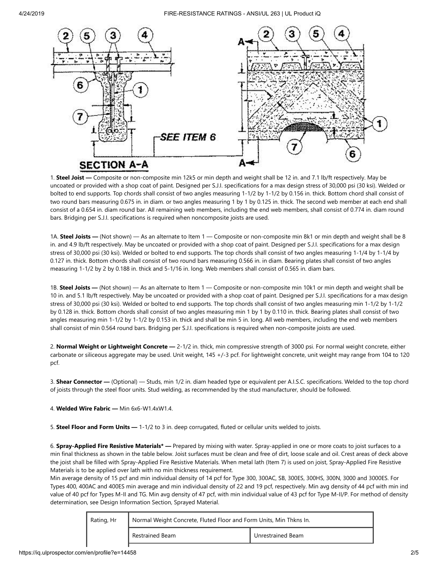

1. **Steel Joist —** Composite or non-composite min 12k5 or min depth and weight shall be 12 in. and 7.1 lb/ft respectively. May be uncoated or provided with a shop coat of paint. Designed per S.J.I. specifications for a max design stress of 30,000 psi (30 ksi). Welded or bolted to end supports. Top chords shall consist of two angles measuring 1-1/2 by 1-1/2 by 0.156 in. thick. Bottom chord shall consist of two round bars measuring 0.675 in. in diam. or two angles measuring 1 by 1 by 0.125 in. thick. The second web member at each end shall consist of a 0.654 in. diam round bar. All remaining web members, including the end web members, shall consist of 0.774 in. diam round bars. Bridging per S.J.I. specifications is required when noncomposite joists are used.

1A. **Steel Joists** — (Not shown) — As an alternate to Item 1 — Composite or non-composite min 8k1 or min depth and weight shall be 8 in. and 4.9 lb/ft respectively. May be uncoated or provided with a shop coat of paint. Designed per S.J.I. specifications for a max design stress of 30,000 psi (30 ksi). Welded or bolted to end supports. The top chords shall consist of two angles measuring 1-1/4 by 1-1/4 by 0.127 in. thick. Bottom chords shall consist of two round bars measuring 0.566 in. in diam. Bearing plates shall consist of two angles measuring 1-1/2 by 2 by 0.188 in. thick and 5-1/16 in. long. Web members shall consist of 0.565 in. diam bars.

1B. **Steel Joists —** (Not shown) — As an alternate to Item 1 — Composite or non-composite min 10k1 or min depth and weight shall be 10 in. and 5.1 lb/ft respectively. May be uncoated or provided with a shop coat of paint. Designed per S.J.I. specifications for a max design stress of 30,000 psi (30 ksi). Welded or bolted to end supports. The top chords shall consist of two angles measuring min 1-1/2 by 1-1/2 by 0.128 in. thick. Bottom chords shall consist of two angles measuring min 1 by 1 by 0.110 in. thick. Bearing plates shall consist of two angles measuring min 1-1/2 by 1-1/2 by 0.153 in. thick and shall be min 5 in. long. All web members, including the end web members shall consist of min 0.564 round bars. Bridging per S.J.I. specifications is required when non-composite joists are used.

2. **Normal Weight or Lightweight Concrete —** 2-1/2 in. thick, min compressive strength of 3000 psi. For normal weight concrete, either carbonate or siliceous aggregate may be used. Unit weight, 145 +/-3 pcf. For lightweight concrete, unit weight may range from 104 to 120 pcf.

3. **Shear Connector —** (Optional) — Studs, min 1/2 in. diam headed type or equivalent per A.I.S.C. specifications. Welded to the top chord of joists through the steel floor units. Stud welding, as recommended by the stud manufacturer, should be followed.

4. **Welded Wire Fabric —** Min 6x6-W1.4xW1.4.

5. **Steel Floor and Form Units —** 1-1/2 to 3 in. deep corrugated, fluted or cellular units welded to joists.

6. **Spray-Applied Fire Resistive Materials\* —** Prepared by mixing with water. Spray-applied in one or more coats to joist surfaces to a min final thickness as shown in the table below. Joist surfaces must be clean and free of dirt, loose scale and oil. Crest areas of deck above the joist shall be filled with Spray-Applied Fire Resistive Materials. When metal lath (Item 7) is used on joist, Spray-Applied Fire Resistive Materials is to be applied over lath with no min thickness requirement.

Min average density of 15 pcf and min individual density of 14 pcf for Type 300, 300AC, SB, 300ES, 300HS, 300N, 3000 and 3000ES. For Types 400, 400AC and 400ES min average and min individual density of 22 and 19 pcf, respectively. Min avg density of 44 pcf with min ind value of 40 pcf for Types M-II and TG. Min avg density of 47 pcf, with min individual value of 43 pcf for Type M-II/P. For method of density determination, see Design Information Section, Sprayed Material.

| Rating, Hr | Normal Weight Concrete, Fluted Floor and Form Units, Min Thkns In. |                   |  |
|------------|--------------------------------------------------------------------|-------------------|--|
|            | Restrained Beam                                                    | Unrestrained Beam |  |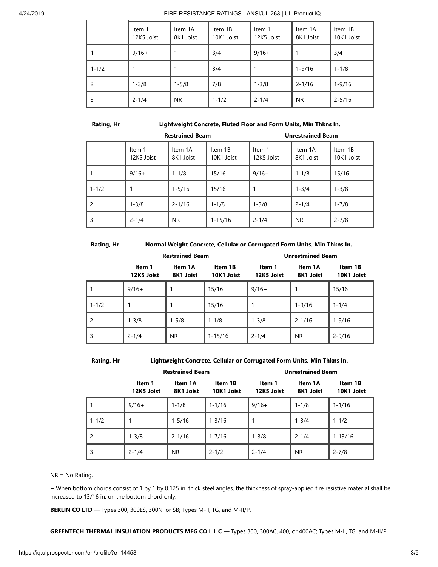#### 4/24/2019 FIRE-RESISTANCE RATINGS - ANSI/UL 263 | UL Product iQ

|           | Item 1<br>12K5 Joist | Item 1A<br>8K1 Joist | Item 1B<br>10K1 Joist | Item 1<br>12K5 Joist | Item 1A<br>8K1 Joist | Item 1B<br>10K1 Joist |
|-----------|----------------------|----------------------|-----------------------|----------------------|----------------------|-----------------------|
|           | $9/16+$              |                      | 3/4                   | $9/16+$              |                      | 3/4                   |
| $1 - 1/2$ |                      |                      | 3/4                   |                      | $1 - 9/16$           | $1 - 1/8$             |
| -2        | $1 - 3/8$            | $1 - 5/8$            | 7/8                   | $1 - 3/8$            | $2 - 1/16$           | $1 - 9/16$            |
| 3         | $2 - 1/4$            | <b>NR</b>            | $1 - 1/2$             | $2 - 1/4$            | N <sub>R</sub>       | $2 - 5/16$            |

### **Rating, Hr Lightweight Concrete, Fluted Floor and Form Units, Min Thkns In.**

| <b>Restrained Beam</b>   |                      |                      |                       | <b>Unrestrained Beam</b> |                      |                       |
|--------------------------|----------------------|----------------------|-----------------------|--------------------------|----------------------|-----------------------|
|                          | Item 1<br>12K5 Joist | Item 1A<br>8K1 Joist | Item 1B<br>10K1 Joist | Item 1<br>12K5 Joist     | Item 1A<br>8K1 Joist | Item 1B<br>10K1 Joist |
|                          | $9/16+$              | $1 - 1/8$            | 15/16                 | $9/16+$                  | $1 - 1/8$            | 15/16                 |
| $1 - 1/2$                |                      | $1 - 5/16$           | 15/16                 |                          | $1 - 3/4$            | $1 - 3/8$             |
| $\overline{\phantom{0}}$ | $1 - 3/8$            | $2 - 1/16$           | $1 - 1/8$             | $1 - 3/8$                | $2 - 1/4$            | $1 - 7/8$             |
| 3                        | $2 - 1/4$            | NR.                  | $1 - 15/16$           | $2 - 1/4$                | NR.                  | $2 - 7/8$             |

#### **Rating, Hr Normal Weight Concrete, Cellular or Corrugated Form Units, Min Thkns In.**

|           | <b>Restrained Beam</b> |                      |                       | <b>Unrestrained Beam</b> |                      |                       |
|-----------|------------------------|----------------------|-----------------------|--------------------------|----------------------|-----------------------|
|           | Item 1<br>12K5 Joist   | Item 1A<br>8K1 Joist | Item 1B<br>10K1 Joist | Item 1<br>12K5 Joist     | Item 1A<br>8K1 Joist | Item 1B<br>10K1 Joist |
|           | $9/16+$                |                      | 15/16                 | $9/16+$                  |                      | 15/16                 |
| $1 - 1/2$ |                        |                      | 15/16                 |                          | $1 - 9/16$           | $1 - 1/4$             |
| 2         | $1 - 3/8$              | $1 - 5/8$            | $1 - 1/8$             | $1 - 3/8$                | $2 - 1/16$           | $1 - 9/16$            |
| 3         | $2 - 1/4$              | <b>NR</b>            | $1 - 15/16$           | $2 - 1/4$                | NR.                  | $2 - 9/16$            |

**Rating, Hr Lightweight Concrete, Cellular or Corrugated Form Units, Min Thkns In.**

|           | <b>Restrained Beam</b> |                      |                       | <b>Unrestrained Beam</b> |                      |                       |  |
|-----------|------------------------|----------------------|-----------------------|--------------------------|----------------------|-----------------------|--|
|           | Item 1<br>12K5 Joist   | Item 1A<br>8K1 Joist | Item 1B<br>10K1 Joist | Item 1<br>12K5 Joist     | Item 1A<br>8K1 Joist | Item 1B<br>10K1 Joist |  |
| 1         | $9/16+$                | $1 - 1/8$            | $1 - 1/16$            | $9/16+$                  | $1 - 1/8$            | $1 - 1/16$            |  |
| $1 - 1/2$ |                        | $1 - 5/16$           | $1 - 3/16$            |                          | $1 - 3/4$            | $1 - 1/2$             |  |
| 2         | $1 - 3/8$              | $2 - 1/16$           | $1 - 7/16$            | $1 - 3/8$                | $2 - 1/4$            | $1 - 13/16$           |  |
| 3         | $2 - 1/4$              | NR.                  | $2 - 1/2$             | $2 - 1/4$                | <b>NR</b>            | $2 - 7/8$             |  |

NR = No Rating.

+ When bottom chords consist of 1 by 1 by 0.125 in. thick steel angles, the thickness of spray-applied fire resistive material shall be increased to 13/16 in. on the bottom chord only.

**BERLIN CO LTD** — Types 300, 300ES, 300N, or SB; Types M-II, TG, and M-II/P.

**GREENTECH THERMAL INSULATION PRODUCTS MFG CO L L C** — Types 300, 300AC, 400, or 400AC; Types M-II, TG, and M-II/P.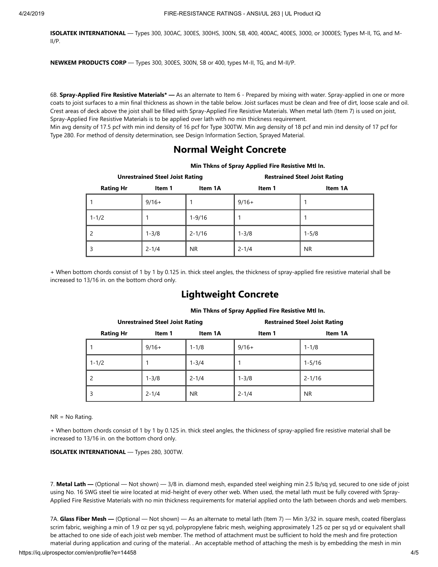**ISOLATEK INTERNATIONAL** — Types 300, 300AC, 300ES, 300HS, 300N, SB, 400, 400AC, 400ES, 3000, or 3000ES; Types M-II, TG, and M-II/P.

**NEWKEM PRODUCTS CORP** — Types 300, 300ES, 300N, SB or 400, types M-II, TG, and M-II/P.

6B. **Spray-Applied Fire Resistive Materials\* —** As an alternate to Item 6 - Prepared by mixing with water. Spray-applied in one or more coats to joist surfaces to a min final thickness as shown in the table below. Joist surfaces must be clean and free of dirt, loose scale and oil. Crest areas of deck above the joist shall be filled with Spray-Applied Fire Resistive Materials. When metal lath (Item 7) is used on joist, Spray-Applied Fire Resistive Materials is to be applied over lath with no min thickness requirement.

Min avg density of 17.5 pcf with min ind density of 16 pcf for Type 300TW. Min avg density of 18 pcf and min ind density of 17 pcf for Type 280. For method of density determination, see Design Information Section, Sprayed Material.

### **Normal Weight Concrete**

|                                       | <b>Unrestrained Steel Joist Rating</b> |            | <b>Restrained Steel Joist Rating</b> |           |  |  |
|---------------------------------------|----------------------------------------|------------|--------------------------------------|-----------|--|--|
| <b>Rating Hr</b><br>Item 1<br>Item 1A |                                        |            | Item 1                               | Item 1A   |  |  |
|                                       | $9/16+$                                |            | $9/16+$                              |           |  |  |
| $1 - 1/2$                             |                                        | $1 - 9/16$ |                                      |           |  |  |
|                                       | $1 - 3/8$                              | $2 - 1/16$ | $1 - 3/8$                            | $1 - 5/8$ |  |  |
|                                       | $2 - 1/4$                              | NR.        | $2 - 1/4$                            | NR.       |  |  |

**Min Thkns of Spray Applied Fire Resistive Mtl In.**

+ When bottom chords consist of 1 by 1 by 0.125 in. thick steel angles, the thickness of spray-applied fire resistive material shall be increased to 13/16 in. on the bottom chord only.

# **Lightweight Concrete**

|                                       | <b>Unrestrained Steel Joist Rating</b> |           | <b>Restrained Steel Joist Rating</b> |            |  |  |
|---------------------------------------|----------------------------------------|-----------|--------------------------------------|------------|--|--|
| <b>Rating Hr</b><br>Item 1A<br>Item 1 |                                        |           | Item 1                               | Item 1A    |  |  |
|                                       | $9/16+$                                | $1 - 1/8$ | $9/16+$                              | $1 - 1/8$  |  |  |
| $1 - 1/2$                             |                                        | $1 - 3/4$ |                                      | $1 - 5/16$ |  |  |
|                                       | $1 - 3/8$                              | $2 - 1/4$ | $1 - 3/8$                            | $2 - 1/16$ |  |  |
| 3                                     | $2 - 1/4$                              | NR.       | $2 - 1/4$                            | <b>NR</b>  |  |  |

#### **Min Thkns of Spray Applied Fire Resistive Mtl In.**

#### NR = No Rating.

+ When bottom chords consist of 1 by 1 by 0.125 in. thick steel angles, the thickness of spray-applied fire resistive material shall be increased to 13/16 in. on the bottom chord only.

**ISOLATEK INTERNATIONAL** — Types 280, 300TW.

7. **Metal Lath —** (Optional — Not shown) — 3/8 in. diamond mesh, expanded steel weighing min 2.5 lb/sq yd, secured to one side of joist using No. 16 SWG steel tie wire located at mid-height of every other web. When used, the metal lath must be fully covered with Spray-Applied Fire Resistive Materials with no min thickness requirements for material applied onto the lath between chords and web members.

7A. **Glass Fiber Mesh —** (Optional — Not shown) — As an alternate to metal lath (Item 7) — Min 3/32 in. square mesh, coated fiberglass scrim fabric, weighing a min of 1.9 oz per sq yd, polypropylene fabric mesh, weighing approximately 1.25 oz per sq yd or equivalent shall be attached to one side of each joist web member. The method of attachment must be sufficient to hold the mesh and fire protection material during application and curing of the material. . An acceptable method of attaching the mesh is by embedding the mesh in min